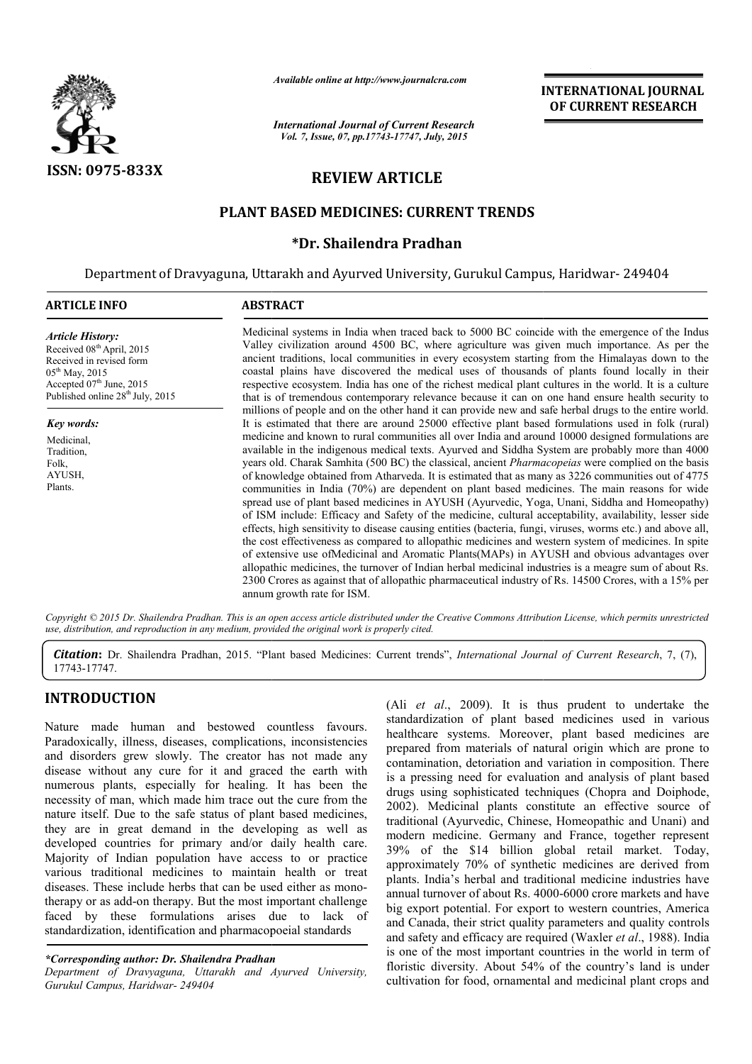

*Available online at http://www.journalcra.com*

# **REVIEW ARTICLE**

## **PLANT BASED MEDICINES: CURRENT TRENDS**

## **\*Dr. Shailendra Pradhan**

|                                                                                                                                                                                                                                                                                                                                                                                                                                                                                                                                                                                                                                                                                                                                                                                                                                                                                                                                                                         | unuvit viimt ui nup://www.jvurnuitru.com<br><b>International Journal of Current Research</b><br>Vol. 7, Issue, 07, pp.17743-17747, July, 2015                                                                                                                                                                                                                                                                                                                                                                                                                                                                                                                                                                                                                                                                                                                                                                                                                                                                                                                                                                                                                                                                                                                                                                                                                                                                                                                                                                                                                                                                                                                                                                                                                                                                                                                                                                                                                                                                                                                                                                                             |  | <b>INTERNATIONAL JOURNAL</b><br>OF CURRENT RESEARCH                                                                                                                                                                                                                                                                                                                                                                                                                                                                                                                                                                                                                                                                                                                                                                                                                                                                                                                                                                                                                                                                                                                                                                                           |
|-------------------------------------------------------------------------------------------------------------------------------------------------------------------------------------------------------------------------------------------------------------------------------------------------------------------------------------------------------------------------------------------------------------------------------------------------------------------------------------------------------------------------------------------------------------------------------------------------------------------------------------------------------------------------------------------------------------------------------------------------------------------------------------------------------------------------------------------------------------------------------------------------------------------------------------------------------------------------|-------------------------------------------------------------------------------------------------------------------------------------------------------------------------------------------------------------------------------------------------------------------------------------------------------------------------------------------------------------------------------------------------------------------------------------------------------------------------------------------------------------------------------------------------------------------------------------------------------------------------------------------------------------------------------------------------------------------------------------------------------------------------------------------------------------------------------------------------------------------------------------------------------------------------------------------------------------------------------------------------------------------------------------------------------------------------------------------------------------------------------------------------------------------------------------------------------------------------------------------------------------------------------------------------------------------------------------------------------------------------------------------------------------------------------------------------------------------------------------------------------------------------------------------------------------------------------------------------------------------------------------------------------------------------------------------------------------------------------------------------------------------------------------------------------------------------------------------------------------------------------------------------------------------------------------------------------------------------------------------------------------------------------------------------------------------------------------------------------------------------------------------|--|-----------------------------------------------------------------------------------------------------------------------------------------------------------------------------------------------------------------------------------------------------------------------------------------------------------------------------------------------------------------------------------------------------------------------------------------------------------------------------------------------------------------------------------------------------------------------------------------------------------------------------------------------------------------------------------------------------------------------------------------------------------------------------------------------------------------------------------------------------------------------------------------------------------------------------------------------------------------------------------------------------------------------------------------------------------------------------------------------------------------------------------------------------------------------------------------------------------------------------------------------|
| ISSN: 0975-833X                                                                                                                                                                                                                                                                                                                                                                                                                                                                                                                                                                                                                                                                                                                                                                                                                                                                                                                                                         | <b>REVIEW ARTICLE</b>                                                                                                                                                                                                                                                                                                                                                                                                                                                                                                                                                                                                                                                                                                                                                                                                                                                                                                                                                                                                                                                                                                                                                                                                                                                                                                                                                                                                                                                                                                                                                                                                                                                                                                                                                                                                                                                                                                                                                                                                                                                                                                                     |  |                                                                                                                                                                                                                                                                                                                                                                                                                                                                                                                                                                                                                                                                                                                                                                                                                                                                                                                                                                                                                                                                                                                                                                                                                                               |
|                                                                                                                                                                                                                                                                                                                                                                                                                                                                                                                                                                                                                                                                                                                                                                                                                                                                                                                                                                         | PLANT BASED MEDICINES: CURRENT TRENDS                                                                                                                                                                                                                                                                                                                                                                                                                                                                                                                                                                                                                                                                                                                                                                                                                                                                                                                                                                                                                                                                                                                                                                                                                                                                                                                                                                                                                                                                                                                                                                                                                                                                                                                                                                                                                                                                                                                                                                                                                                                                                                     |  |                                                                                                                                                                                                                                                                                                                                                                                                                                                                                                                                                                                                                                                                                                                                                                                                                                                                                                                                                                                                                                                                                                                                                                                                                                               |
|                                                                                                                                                                                                                                                                                                                                                                                                                                                                                                                                                                                                                                                                                                                                                                                                                                                                                                                                                                         | *Dr. Shailendra Pradhan                                                                                                                                                                                                                                                                                                                                                                                                                                                                                                                                                                                                                                                                                                                                                                                                                                                                                                                                                                                                                                                                                                                                                                                                                                                                                                                                                                                                                                                                                                                                                                                                                                                                                                                                                                                                                                                                                                                                                                                                                                                                                                                   |  |                                                                                                                                                                                                                                                                                                                                                                                                                                                                                                                                                                                                                                                                                                                                                                                                                                                                                                                                                                                                                                                                                                                                                                                                                                               |
|                                                                                                                                                                                                                                                                                                                                                                                                                                                                                                                                                                                                                                                                                                                                                                                                                                                                                                                                                                         | Department of Dravyaguna, Uttarakh and Ayurved University, Gurukul Campus, Haridwar-249404                                                                                                                                                                                                                                                                                                                                                                                                                                                                                                                                                                                                                                                                                                                                                                                                                                                                                                                                                                                                                                                                                                                                                                                                                                                                                                                                                                                                                                                                                                                                                                                                                                                                                                                                                                                                                                                                                                                                                                                                                                                |  |                                                                                                                                                                                                                                                                                                                                                                                                                                                                                                                                                                                                                                                                                                                                                                                                                                                                                                                                                                                                                                                                                                                                                                                                                                               |
| <b>ARTICLE INFO</b>                                                                                                                                                                                                                                                                                                                                                                                                                                                                                                                                                                                                                                                                                                                                                                                                                                                                                                                                                     | <b>ABSTRACT</b>                                                                                                                                                                                                                                                                                                                                                                                                                                                                                                                                                                                                                                                                                                                                                                                                                                                                                                                                                                                                                                                                                                                                                                                                                                                                                                                                                                                                                                                                                                                                                                                                                                                                                                                                                                                                                                                                                                                                                                                                                                                                                                                           |  |                                                                                                                                                                                                                                                                                                                                                                                                                                                                                                                                                                                                                                                                                                                                                                                                                                                                                                                                                                                                                                                                                                                                                                                                                                               |
| <b>Article History:</b><br>Received 08th April, 2015<br>Received in revised form<br>05 <sup>th</sup> May, 2015<br>Accepted 07 <sup>th</sup> June, 2015<br>Published online 28 <sup>th</sup> July, 2015                                                                                                                                                                                                                                                                                                                                                                                                                                                                                                                                                                                                                                                                                                                                                                  | Medicinal systems in India when traced back to 5000 BC coincide with the emergence of the Indus<br>Valley civilization around 4500 BC, where agriculture was given much importance. As per the<br>ancient traditions, local communities in every ecosystem starting from the Himalayas down to the<br>coastal plains have discovered the medical uses of thousands of plants found locally in their<br>respective ecosystem. India has one of the richest medical plant cultures in the world. It is a culture<br>that is of tremendous contemporary relevance because it can on one hand ensure health security to<br>millions of people and on the other hand it can provide new and safe herbal drugs to the entire world.<br>It is estimated that there are around 25000 effective plant based formulations used in folk (rural)<br>medicine and known to rural communities all over India and around 10000 designed formulations are<br>available in the indigenous medical texts. Ayurved and Siddha System are probably more than 4000<br>years old. Charak Samhita (500 BC) the classical, ancient Pharmacopeias were complied on the basis<br>of knowledge obtained from Atharveda. It is estimated that as many as 3226 communities out of 4775<br>communities in India (70%) are dependent on plant based medicines. The main reasons for wide<br>spread use of plant based medicines in AYUSH (Ayurvedic, Yoga, Unani, Siddha and Homeopathy)<br>of ISM include: Efficacy and Safety of the medicine, cultural acceptability, availability, lesser side<br>effects, high sensitivity to disease causing entities (bacteria, fungi, viruses, worms etc.) and above all,<br>the cost effectiveness as compared to allopathic medicines and western system of medicines. In spite<br>of extensive use ofMedicinal and Aromatic Plants(MAPs) in AYUSH and obvious advantages over<br>allopathic medicines, the turnover of Indian herbal medicinal industries is a meagre sum of about Rs.<br>2300 Crores as against that of allopathic pharmaceutical industry of Rs. 14500 Crores, with a 15% per<br>annum growth rate for ISM. |  |                                                                                                                                                                                                                                                                                                                                                                                                                                                                                                                                                                                                                                                                                                                                                                                                                                                                                                                                                                                                                                                                                                                                                                                                                                               |
| Key words:<br>Medicinal,<br>Tradition,<br>Folk,<br>AYUSH,<br>Plants.                                                                                                                                                                                                                                                                                                                                                                                                                                                                                                                                                                                                                                                                                                                                                                                                                                                                                                    |                                                                                                                                                                                                                                                                                                                                                                                                                                                                                                                                                                                                                                                                                                                                                                                                                                                                                                                                                                                                                                                                                                                                                                                                                                                                                                                                                                                                                                                                                                                                                                                                                                                                                                                                                                                                                                                                                                                                                                                                                                                                                                                                           |  |                                                                                                                                                                                                                                                                                                                                                                                                                                                                                                                                                                                                                                                                                                                                                                                                                                                                                                                                                                                                                                                                                                                                                                                                                                               |
|                                                                                                                                                                                                                                                                                                                                                                                                                                                                                                                                                                                                                                                                                                                                                                                                                                                                                                                                                                         | use, distribution, and reproduction in any medium, provided the original work is properly cited.                                                                                                                                                                                                                                                                                                                                                                                                                                                                                                                                                                                                                                                                                                                                                                                                                                                                                                                                                                                                                                                                                                                                                                                                                                                                                                                                                                                                                                                                                                                                                                                                                                                                                                                                                                                                                                                                                                                                                                                                                                          |  | Copyright © 2015 Dr. Shailendra Pradhan. This is an open access article distributed under the Creative Commons Attribution License, which permits unrestricted                                                                                                                                                                                                                                                                                                                                                                                                                                                                                                                                                                                                                                                                                                                                                                                                                                                                                                                                                                                                                                                                                |
| 17743-17747.                                                                                                                                                                                                                                                                                                                                                                                                                                                                                                                                                                                                                                                                                                                                                                                                                                                                                                                                                            |                                                                                                                                                                                                                                                                                                                                                                                                                                                                                                                                                                                                                                                                                                                                                                                                                                                                                                                                                                                                                                                                                                                                                                                                                                                                                                                                                                                                                                                                                                                                                                                                                                                                                                                                                                                                                                                                                                                                                                                                                                                                                                                                           |  | Citation: Dr. Shailendra Pradhan, 2015. "Plant based Medicines: Current trends", International Journal of Current Research, 7, (7),                                                                                                                                                                                                                                                                                                                                                                                                                                                                                                                                                                                                                                                                                                                                                                                                                                                                                                                                                                                                                                                                                                           |
| <b>INTRODUCTION</b><br>Nature made human and bestowed countless favours.<br>Paradoxically, illness, diseases, complications, inconsistencies<br>and disorders grew slowly. The creator has not made any<br>disease without any cure for it and graced the earth with<br>numerous plants, especially for healing. It has been the<br>necessity of man, which made him trace out the cure from the<br>nature itself. Due to the safe status of plant based medicines,<br>they are in great demand in the developing as well as<br>developed countries for primary and/or daily health care.<br>Majority of Indian population have access to or practice<br>various traditional medicines to maintain health or treat<br>diseases. These include herbs that can be used either as mono-<br>therapy or as add-on therapy. But the most important challenge<br>standardization, identification and pharmacopoeial standards<br>*Corresponding author: Dr. Shailendra Pradhan | faced by these formulations arises due to lack of                                                                                                                                                                                                                                                                                                                                                                                                                                                                                                                                                                                                                                                                                                                                                                                                                                                                                                                                                                                                                                                                                                                                                                                                                                                                                                                                                                                                                                                                                                                                                                                                                                                                                                                                                                                                                                                                                                                                                                                                                                                                                         |  | (Ali et al., 2009). It is thus prudent to undertake the<br>standardization of plant based medicines used in various<br>healthcare systems. Moreover, plant based medicines are<br>prepared from materials of natural origin which are prone to<br>contamination, detoriation and variation in composition. There<br>is a pressing need for evaluation and analysis of plant based<br>drugs using sophisticated techniques (Chopra and Doiphode,<br>2002). Medicinal plants constitute an effective source of<br>traditional (Ayurvedic, Chinese, Homeopathic and Unani) and<br>modern medicine. Germany and France, together represent<br>39% of the \$14 billion global retail market. Today,<br>approximately 70% of synthetic medicines are derived from<br>plants. India's herbal and traditional medicine industries have<br>annual turnover of about Rs. 4000-6000 crore markets and have<br>big export potential. For export to western countries, America<br>and Canada, their strict quality parameters and quality controls<br>and safety and efficacy are required (Waxler et al., 1988). India<br>is one of the most important countries in the world in term of<br>floristic diversity. About 54% of the country's land is under |
| Department of Dravyaguna, Uttarakh and Ayurved University,<br>Gurukul Campus, Haridwar- 249404                                                                                                                                                                                                                                                                                                                                                                                                                                                                                                                                                                                                                                                                                                                                                                                                                                                                          |                                                                                                                                                                                                                                                                                                                                                                                                                                                                                                                                                                                                                                                                                                                                                                                                                                                                                                                                                                                                                                                                                                                                                                                                                                                                                                                                                                                                                                                                                                                                                                                                                                                                                                                                                                                                                                                                                                                                                                                                                                                                                                                                           |  | cultivation for food, ornamental and medicinal plant crops and                                                                                                                                                                                                                                                                                                                                                                                                                                                                                                                                                                                                                                                                                                                                                                                                                                                                                                                                                                                                                                                                                                                                                                                |

## **INTRODUCTION**

*Department of Dravyaguna, Uttarakh and Ayurved University, Gurukul Campus, Haridwar- 249404*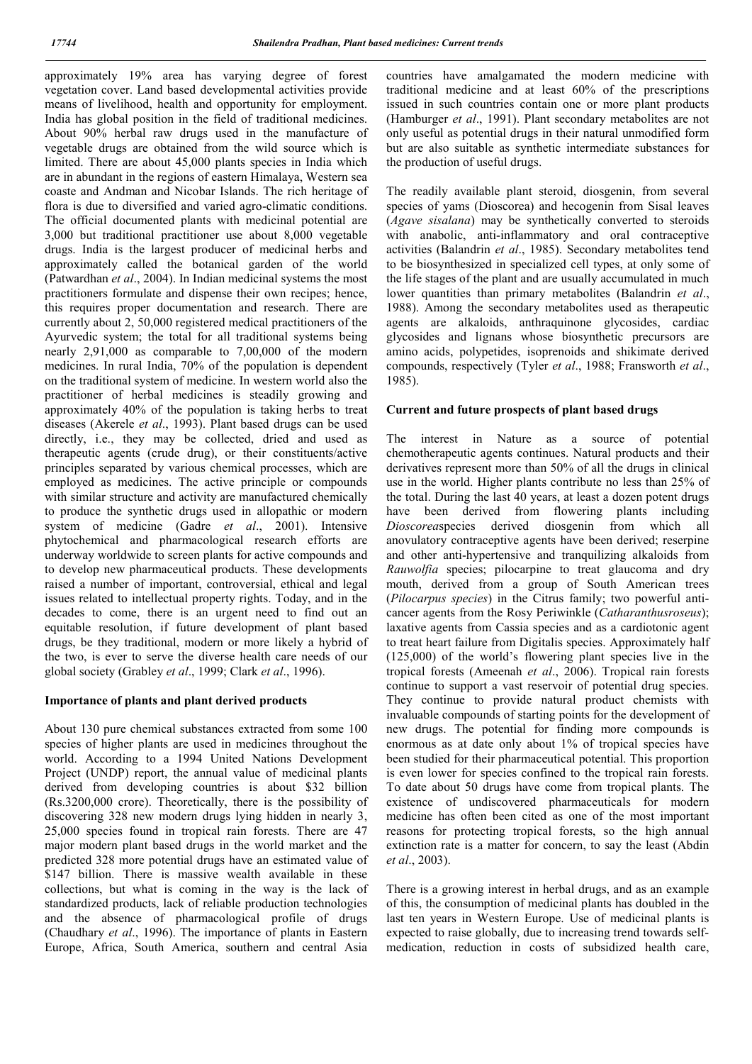approximately 19% area has varying degree of forest vegetation cover. Land based developmental activities provide means of livelihood, health and opportunity for employment. India has global position in the field of traditional medicines. About 90% herbal raw drugs used in the manufacture of vegetable drugs are obtained from the wild source which is limited. There are about 45,000 plants species in India which are in abundant in the regions of eastern Himalaya, Western sea coaste and Andman and Nicobar Islands. The rich heritage of flora is due to diversified and varied agro-climatic conditions. The official documented plants with medicinal potential are 3,000 but traditional practitioner use about 8,000 vegetable drugs. India is the largest producer of medicinal herbs and approximately called the botanical garden of the world (Patwardhan *et al*., 2004). In Indian medicinal systems the most practitioners formulate and dispense their own recipes; hence, this requires proper documentation and research. There are currently about 2, 50,000 registered medical practitioners of the Ayurvedic system; the total for all traditional systems being nearly 2,91,000 as comparable to 7,00,000 of the modern medicines. In rural India, 70% of the population is dependent on the traditional system of medicine. In western world also the practitioner of herbal medicines is steadily growing and approximately 40% of the population is taking herbs to treat diseases (Akerele *et al*., 1993). Plant based drugs can be used directly, i.e., they may be collected, dried and used as therapeutic agents (crude drug), or their constituents/active principles separated by various chemical processes, which are employed as medicines. The active principle or compounds with similar structure and activity are manufactured chemically to produce the synthetic drugs used in allopathic or modern system of medicine (Gadre *et al*., 2001). Intensive phytochemical and pharmacological research efforts are underway worldwide to screen plants for active compounds and to develop new pharmaceutical products. These developments raised a number of important, controversial, ethical and legal issues related to intellectual property rights. Today, and in the decades to come, there is an urgent need to find out an equitable resolution, if future development of plant based drugs, be they traditional, modern or more likely a hybrid of the two, is ever to serve the diverse health care needs of our global society (Grabley *et al*., 1999; Clark *et al*., 1996).

#### **Importance of plants and plant derived products**

About 130 pure chemical substances extracted from some 100 species of higher plants are used in medicines throughout the world. According to a 1994 United Nations Development Project (UNDP) report, the annual value of medicinal plants derived from developing countries is about \$32 billion (Rs.3200,000 crore). Theoretically, there is the possibility of discovering 328 new modern drugs lying hidden in nearly 3, 25,000 species found in tropical rain forests. There are 47 major modern plant based drugs in the world market and the predicted 328 more potential drugs have an estimated value of \$147 billion. There is massive wealth available in these collections, but what is coming in the way is the lack of standardized products, lack of reliable production technologies and the absence of pharmacological profile of drugs (Chaudhary *et al*., 1996). The importance of plants in Eastern Europe, Africa, South America, southern and central Asia

countries have amalgamated the modern medicine with traditional medicine and at least 60% of the prescriptions issued in such countries contain one or more plant products (Hamburger *et al*., 1991). Plant secondary metabolites are not only useful as potential drugs in their natural unmodified form but are also suitable as synthetic intermediate substances for the production of useful drugs.

The readily available plant steroid, diosgenin, from several species of yams (Dioscorea) and hecogenin from Sisal leaves (*Agave sisalana*) may be synthetically converted to steroids with anabolic, anti-inflammatory and oral contraceptive activities (Balandrin *et al*., 1985). Secondary metabolites tend to be biosynthesized in specialized cell types, at only some of the life stages of the plant and are usually accumulated in much lower quantities than primary metabolites (Balandrin *et al*., 1988). Among the secondary metabolites used as therapeutic agents are alkaloids, anthraquinone glycosides, cardiac glycosides and lignans whose biosynthetic precursors are amino acids, polypetides, isoprenoids and shikimate derived compounds, respectively (Tyler *et al*., 1988; Fransworth *et al*., 1985).

#### **Current and future prospects of plant based drugs**

The interest in Nature as a source of potential chemotherapeutic agents continues. Natural products and their derivatives represent more than 50% of all the drugs in clinical use in the world. Higher plants contribute no less than 25% of the total. During the last 40 years, at least a dozen potent drugs have been derived from flowering plants including *Dioscorea*species derived diosgenin from which all anovulatory contraceptive agents have been derived; reserpine and other anti-hypertensive and tranquilizing alkaloids from *Rauwolfia* species; pilocarpine to treat glaucoma and dry mouth, derived from a group of South American trees (*Pilocarpus species*) in the Citrus family; two powerful anticancer agents from the Rosy Periwinkle (*Catharanthusroseus*); laxative agents from Cassia species and as a cardiotonic agent to treat heart failure from Digitalis species. Approximately half (125,000) of the world's flowering plant species live in the tropical forests (Ameenah *et al*., 2006). Tropical rain forests continue to support a vast reservoir of potential drug species. They continue to provide natural product chemists with invaluable compounds of starting points for the development of new drugs. The potential for finding more compounds is enormous as at date only about 1% of tropical species have been studied for their pharmaceutical potential. This proportion is even lower for species confined to the tropical rain forests. To date about 50 drugs have come from tropical plants. The existence of undiscovered pharmaceuticals for modern medicine has often been cited as one of the most important reasons for protecting tropical forests, so the high annual extinction rate is a matter for concern, to say the least (Abdin *et al*., 2003).

There is a growing interest in herbal drugs, and as an example of this, the consumption of medicinal plants has doubled in the last ten years in Western Europe. Use of medicinal plants is expected to raise globally, due to increasing trend towards selfmedication, reduction in costs of subsidized health care,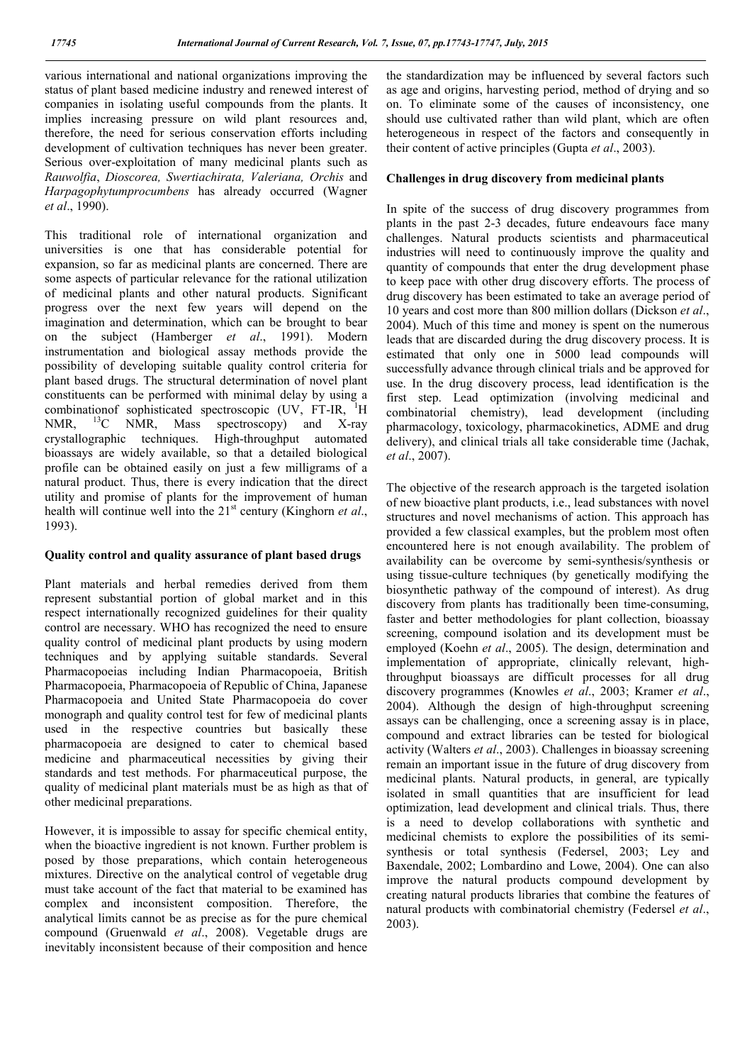various international and national organizations improving the status of plant based medicine industry and renewed interest of companies in isolating useful compounds from the plants. It implies increasing pressure on wild plant resources and, therefore, the need for serious conservation efforts including development of cultivation techniques has never been greater. Serious over-exploitation of many medicinal plants such as *Rauwolfia*, *Dioscorea, Swertiachirata, Valeriana, Orchis* and *Harpagophytumprocumbens* has already occurred (Wagner *et al*., 1990).

This traditional role of international organization and universities is one that has considerable potential for expansion, so far as medicinal plants are concerned. There are some aspects of particular relevance for the rational utilization of medicinal plants and other natural products. Significant progress over the next few years will depend on the imagination and determination, which can be brought to bear on the subject (Hamberger *et al*., 1991). Modern instrumentation and biological assay methods provide the possibility of developing suitable quality control criteria for plant based drugs. The structural determination of novel plant constituents can be performed with minimal delay by using a combinationof sophisticated spectroscopic (UV, FT-IR, <sup>1</sup>H NMR.  $^{13}$ C NMR, Mass spectroscopy) and X-ray crystallographic techniques. High-throughput automated bioassays are widely available, so that a detailed biological profile can be obtained easily on just a few milligrams of a natural product. Thus, there is every indication that the direct utility and promise of plants for the improvement of human health will continue well into the 21<sup>st</sup> century (Kinghorn *et al.*, 1993).

### **Quality control and quality assurance of plant based drugs**

Plant materials and herbal remedies derived from them represent substantial portion of global market and in this respect internationally recognized guidelines for their quality control are necessary. WHO has recognized the need to ensure quality control of medicinal plant products by using modern techniques and by applying suitable standards. Several Pharmacopoeias including Indian Pharmacopoeia, British Pharmacopoeia, Pharmacopoeia of Republic of China, Japanese Pharmacopoeia and United State Pharmacopoeia do cover monograph and quality control test for few of medicinal plants used in the respective countries but basically these pharmacopoeia are designed to cater to chemical based medicine and pharmaceutical necessities by giving their standards and test methods. For pharmaceutical purpose, the quality of medicinal plant materials must be as high as that of other medicinal preparations.

However, it is impossible to assay for specific chemical entity, when the bioactive ingredient is not known. Further problem is posed by those preparations, which contain heterogeneous mixtures. Directive on the analytical control of vegetable drug must take account of the fact that material to be examined has complex and inconsistent composition. Therefore, the analytical limits cannot be as precise as for the pure chemical compound (Gruenwald *et al*., 2008). Vegetable drugs are inevitably inconsistent because of their composition and hence

the standardization may be influenced by several factors such as age and origins, harvesting period, method of drying and so on. To eliminate some of the causes of inconsistency, one should use cultivated rather than wild plant, which are often heterogeneous in respect of the factors and consequently in their content of active principles (Gupta *et al*., 2003).

### **Challenges in drug discovery from medicinal plants**

In spite of the success of drug discovery programmes from plants in the past 2-3 decades, future endeavours face many challenges. Natural products scientists and pharmaceutical industries will need to continuously improve the quality and quantity of compounds that enter the drug development phase to keep pace with other drug discovery efforts. The process of drug discovery has been estimated to take an average period of 10 years and cost more than 800 million dollars (Dickson *et al*., 2004). Much of this time and money is spent on the numerous leads that are discarded during the drug discovery process. It is estimated that only one in 5000 lead compounds will successfully advance through clinical trials and be approved for use. In the drug discovery process, lead identification is the first step. Lead optimization (involving medicinal and combinatorial chemistry), lead development (including pharmacology, toxicology, pharmacokinetics, ADME and drug delivery), and clinical trials all take considerable time (Jachak, *et al*., 2007).

The objective of the research approach is the targeted isolation of new bioactive plant products, i.e., lead substances with novel structures and novel mechanisms of action. This approach has provided a few classical examples, but the problem most often encountered here is not enough availability. The problem of availability can be overcome by semi-synthesis/synthesis or using tissue-culture techniques (by genetically modifying the biosynthetic pathway of the compound of interest). As drug discovery from plants has traditionally been time-consuming, faster and better methodologies for plant collection, bioassay screening, compound isolation and its development must be employed (Koehn *et al*., 2005). The design, determination and implementation of appropriate, clinically relevant, highthroughput bioassays are difficult processes for all drug discovery programmes (Knowles *et al*., 2003; Kramer *et al*., 2004). Although the design of high-throughput screening assays can be challenging, once a screening assay is in place, compound and extract libraries can be tested for biological activity (Walters *et al*., 2003). Challenges in bioassay screening remain an important issue in the future of drug discovery from medicinal plants. Natural products, in general, are typically isolated in small quantities that are insufficient for lead optimization, lead development and clinical trials. Thus, there is a need to develop collaborations with synthetic and medicinal chemists to explore the possibilities of its semisynthesis or total synthesis (Federsel, 2003; Ley and Baxendale, 2002; Lombardino and Lowe, 2004). One can also improve the natural products compound development by creating natural products libraries that combine the features of natural products with combinatorial chemistry (Federsel *et al*., 2003).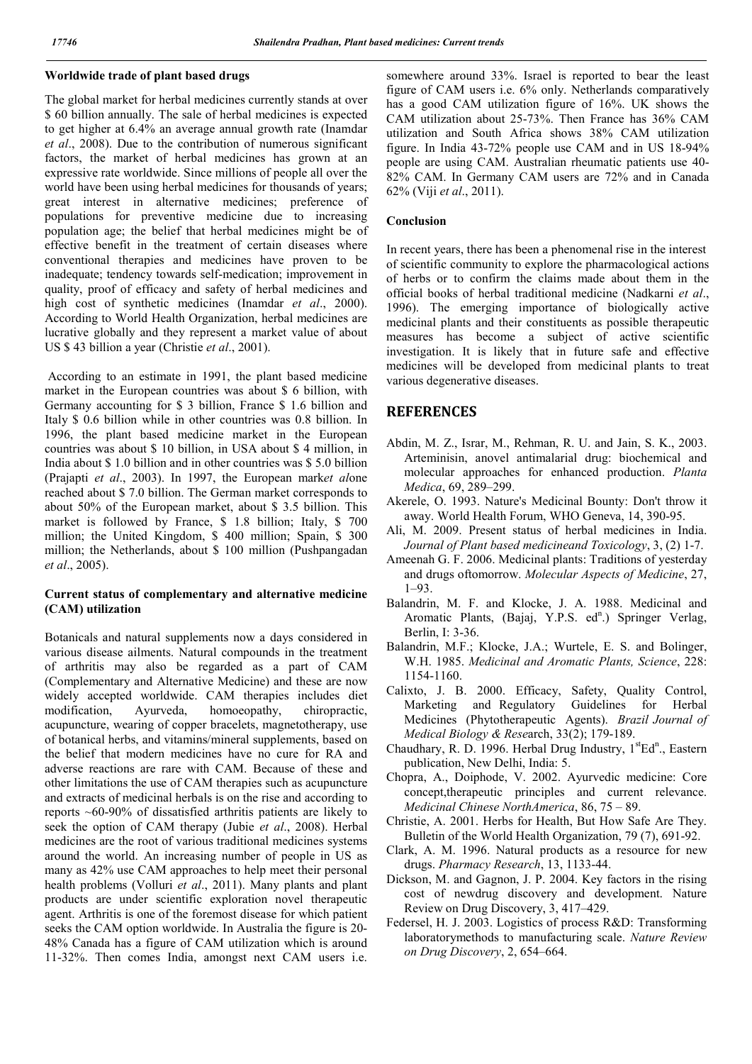### **Worldwide trade of plant based drugs**

The global market for herbal medicines currently stands at over \$ 60 billion annually. The sale of herbal medicines is expected to get higher at 6.4% an average annual growth rate (Inamdar *et al*., 2008). Due to the contribution of numerous significant factors, the market of herbal medicines has grown at an expressive rate worldwide. Since millions of people all over the world have been using herbal medicines for thousands of years; great interest in alternative medicines; preference of populations for preventive medicine due to increasing population age; the belief that herbal medicines might be of effective benefit in the treatment of certain diseases where conventional therapies and medicines have proven to be inadequate; tendency towards self-medication; improvement in quality, proof of efficacy and safety of herbal medicines and high cost of synthetic medicines (Inamdar *et al*., 2000). According to World Health Organization, herbal medicines are lucrative globally and they represent a market value of about US \$ 43 billion a year (Christie *et al*., 2001).

According to an estimate in 1991, the plant based medicine market in the European countries was about \$ 6 billion, with Germany accounting for \$ 3 billion, France \$ 1.6 billion and Italy \$ 0.6 billion while in other countries was 0.8 billion. In 1996, the plant based medicine market in the European countries was about \$ 10 billion, in USA about \$ 4 million, in India about \$ 1.0 billion and in other countries was \$ 5.0 billion (Prajapti *et al*., 2003). In 1997, the European mark*et al*one reached about \$ 7.0 billion. The German market corresponds to about 50% of the European market, about \$ 3.5 billion. This market is followed by France, \$ 1.8 billion; Italy, \$ 700 million; the United Kingdom, \$ 400 million; Spain, \$ 300 million; the Netherlands, about \$ 100 million (Pushpangadan *et al*., 2005).

### **Current status of complementary and alternative medicine (CAM) utilization**

Botanicals and natural supplements now a days considered in various disease ailments. Natural compounds in the treatment of arthritis may also be regarded as a part of CAM (Complementary and Alternative Medicine) and these are now widely accepted worldwide. CAM therapies includes diet modification, Ayurveda, homoeopathy, chiropractic, acupuncture, wearing of copper bracelets, magnetotherapy, use of botanical herbs, and vitamins/mineral supplements, based on the belief that modern medicines have no cure for RA and adverse reactions are rare with CAM. Because of these and other limitations the use of CAM therapies such as acupuncture and extracts of medicinal herbals is on the rise and according to reports ~60-90% of dissatisfied arthritis patients are likely to seek the option of CAM therapy (Jubie *et al*., 2008). Herbal medicines are the root of various traditional medicines systems around the world. An increasing number of people in US as many as 42% use CAM approaches to help meet their personal health problems (Volluri *et al*., 2011). Many plants and plant products are under scientific exploration novel therapeutic agent. Arthritis is one of the foremost disease for which patient seeks the CAM option worldwide. In Australia the figure is 20- 48% Canada has a figure of CAM utilization which is around 11-32%. Then comes India, amongst next CAM users i.e.

somewhere around 33%. Israel is reported to bear the least figure of CAM users i.e. 6% only. Netherlands comparatively has a good CAM utilization figure of 16%. UK shows the CAM utilization about 25-73%. Then France has 36% CAM utilization and South Africa shows 38% CAM utilization figure. In India 43-72% people use CAM and in US 18-94% people are using CAM. Australian rheumatic patients use 40- 82% CAM. In Germany CAM users are 72% and in Canada 62% (Viji *et al*., 2011).

#### **Conclusion**

In recent years, there has been a phenomenal rise in the interest of scientific community to explore the pharmacological actions of herbs or to confirm the claims made about them in the official books of herbal traditional medicine (Nadkarni *et al*., 1996). The emerging importance of biologically active medicinal plants and their constituents as possible therapeutic measures has become a subject of active scientific investigation. It is likely that in future safe and effective medicines will be developed from medicinal plants to treat various degenerative diseases.

## **REFERENCES**

- Abdin, M. Z., Israr, M., Rehman, R. U. and Jain, S. K., 2003. Arteminisin, anovel antimalarial drug: biochemical and molecular approaches for enhanced production. *Planta Medica*, 69, 289–299.
- Akerele, O. 1993. Nature's Medicinal Bounty: Don't throw it away. World Health Forum, WHO Geneva, 14, 390-95.
- Ali, M. 2009. Present status of herbal medicines in India. *Journal of Plant based medicineand Toxicology*, 3, (2) 1-7.
- Ameenah G. F. 2006. Medicinal plants: Traditions of yesterday and drugs oftomorrow. *Molecular Aspects of Medicine*, 27, 1–93.
- Balandrin, M. F. and Klocke, J. A. 1988. Medicinal and Aromatic Plants, (Bajaj, Y.P.S. ed<sup>n</sup>.) Springer Verlag, Berlin, I: 3-36.
- Balandrin, M.F.; Klocke, J.A.; Wurtele, E. S. and Bolinger, W.H. 1985. *Medicinal and Aromatic Plants, Science*, 228: 1154-1160.
- Calixto, J. B. 2000. Efficacy, Safety, Quality Control, Marketing and Regulatory Guidelines for Herbal Medicines (Phytotherapeutic Agents). *Brazil Journal of Medical Biology & Rese*arch, 33(2); 179-189.
- Chaudhary, R. D. 1996. Herbal Drug Industry, 1<sup>st</sup>Ed<sup>n</sup>., Eastern publication, New Delhi, India: 5.
- Chopra, A., Doiphode, V. 2002. Ayurvedic medicine: Core concept,therapeutic principles and current relevance. *Medicinal Chinese NorthAmerica*, 86, 75 – 89.
- Christie, A. 2001. Herbs for Health, But How Safe Are They. Bulletin of the World Health Organization, 79 (7), 691-92.
- Clark, A. M. 1996. Natural products as a resource for new drugs. *Pharmacy Research*, 13, 1133-44.
- Dickson, M. and Gagnon, J. P. 2004. Key factors in the rising cost of newdrug discovery and development. Nature Review on Drug Discovery, 3, 417–429.
- Federsel, H. J. 2003. Logistics of process R&D: Transforming laboratorymethods to manufacturing scale. *Nature Review on Drug Discovery*, 2, 654–664.